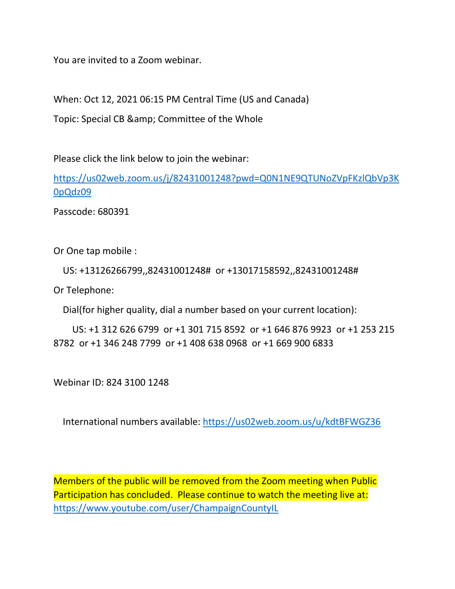You are invited to a Zoom webinar.

When: Oct 12, 2021 06:15 PM Central Time (US and Canada)

Topic: Special CB & amp; Committee of the Whole

Please click the link below to join the webinar:

[https://us02web.zoom.us/j/82431001248?pwd=Q0N1NE9QTUNoZVpFKzlQbVp3K](https://us02web.zoom.us/j/82431001248?pwd=Q0N1NE9QTUNoZVpFKzlQbVp3K0pQdz09) [0pQdz09](https://us02web.zoom.us/j/82431001248?pwd=Q0N1NE9QTUNoZVpFKzlQbVp3K0pQdz09)

Passcode: 680391

Or One tap mobile :

US: +13126266799,,82431001248# or +13017158592,,82431001248#

Or Telephone:

Dial(for higher quality, dial a number based on your current location):

 US: +1 312 626 6799 or +1 301 715 8592 or +1 646 876 9923 or +1 253 215 8782 or +1 346 248 7799 or +1 408 638 0968 or +1 669 900 6833

Webinar ID: 824 3100 1248

International numbers available:<https://us02web.zoom.us/u/kdtBFWGZ36>

Members of the public will be removed from the Zoom meeting when Public Participation has concluded. Please continue to watch the meeting live at: <https://www.youtube.com/user/ChampaignCountyIL>